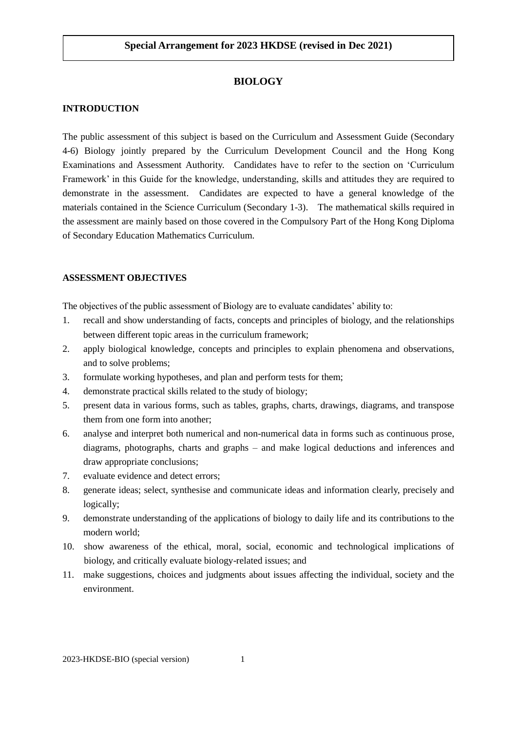# **BIOLOGY**

## **INTRODUCTION**

The public assessment of this subject is based on the Curriculum and Assessment Guide (Secondary 4-6) Biology jointly prepared by the Curriculum Development Council and the Hong Kong Examinations and Assessment Authority. Candidates have to refer to the section on 'Curriculum Framework' in this Guide for the knowledge, understanding, skills and attitudes they are required to demonstrate in the assessment. Candidates are expected to have a general knowledge of the materials contained in the Science Curriculum (Secondary 1-3). The mathematical skills required in the assessment are mainly based on those covered in the Compulsory Part of the Hong Kong Diploma of Secondary Education Mathematics Curriculum.

### **ASSESSMENT OBJECTIVES**

The objectives of the public assessment of Biology are to evaluate candidates' ability to:

- 1. recall and show understanding of facts, concepts and principles of biology, and the relationships between different topic areas in the curriculum framework;
- 2. apply biological knowledge, concepts and principles to explain phenomena and observations, and to solve problems;
- 3. formulate working hypotheses, and plan and perform tests for them;
- 4. demonstrate practical skills related to the study of biology;
- 5. present data in various forms, such as tables, graphs, charts, drawings, diagrams, and transpose them from one form into another;
- 6. analyse and interpret both numerical and non-numerical data in forms such as continuous prose, diagrams, photographs, charts and graphs – and make logical deductions and inferences and draw appropriate conclusions;
- 7. evaluate evidence and detect errors;
- 8. generate ideas; select, synthesise and communicate ideas and information clearly, precisely and logically;
- 9. demonstrate understanding of the applications of biology to daily life and its contributions to the modern world;
- 10. show awareness of the ethical, moral, social, economic and technological implications of biology, and critically evaluate biology-related issues; and
- 11. make suggestions, choices and judgments about issues affecting the individual, society and the environment.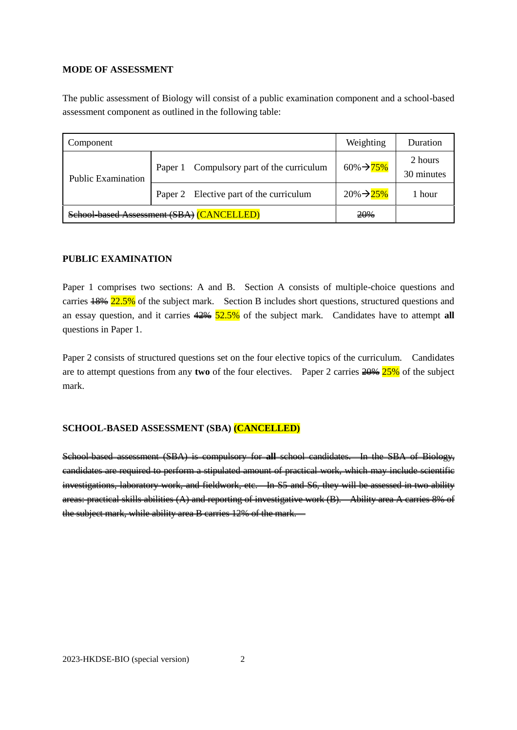## **MODE OF ASSESSMENT**

The public assessment of Biology will consist of a public examination component and a school-based assessment component as outlined in the following table:

| Component                                 | Weighting                                    | Duration                |                       |
|-------------------------------------------|----------------------------------------------|-------------------------|-----------------------|
| <b>Public Examination</b>                 | Compulsory part of the curriculum<br>Paper 1 | $60\% \rightarrow 75\%$ | 2 hours<br>30 minutes |
|                                           | Paper 2 Elective part of the curriculum      | $20\% \rightarrow 25\%$ | 1 hour                |
| School-based Assessment (SBA) (CANCELLED) | 20%                                          |                         |                       |

### **PUBLIC EXAMINATION**

Paper 1 comprises two sections: A and B. Section A consists of multiple-choice questions and carries  $\frac{18}{6}$  22.5% of the subject mark. Section B includes short questions, structured questions and an essay question, and it carries 42% 52.5% of the subject mark. Candidates have to attempt **all** questions in Paper 1.

Paper 2 consists of structured questions set on the four elective topics of the curriculum. Candidates are to attempt questions from any **two** of the four electives. Paper 2 carries 20% 25% of the subject mark.

### **SCHOOL-BASED ASSESSMENT (SBA) (CANCELLED)**

School-based assessment (SBA) is compulsory for **all** school candidates. In the SBA of Biology, candidates are required to perform a stipulated amount of practical work, which may include scientific investigations, laboratory work, and fieldwork, etc. In S5 and S6, they will be assessed in two ability areas: practical skills abilities (A) and reporting of investigative work (B). Ability area A carries 8% of the subject mark, while ability area B carries 12% of the mark.